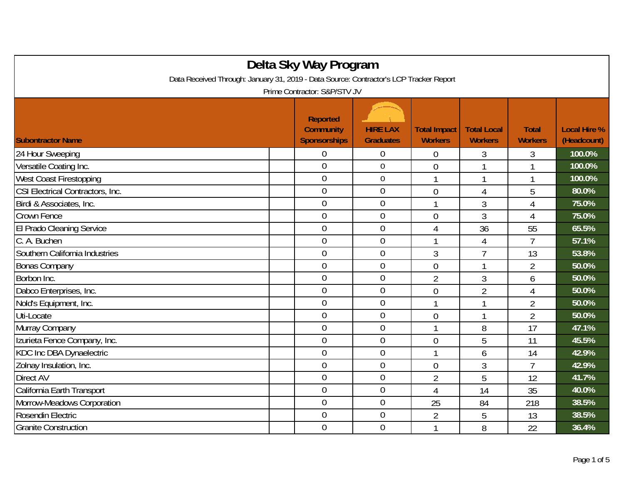| Delta Sky Way Program<br>Data Received Through: January 31, 2019 - Data Source: Contractor's LCP Tracker Report<br>Prime Contractor: S&P/STV JV |                  |                  |                  |                |                |        |  |
|-------------------------------------------------------------------------------------------------------------------------------------------------|------------------|------------------|------------------|----------------|----------------|--------|--|
|                                                                                                                                                 |                  |                  |                  |                |                |        |  |
| 24 Hour Sweeping                                                                                                                                | 0                | 0                | $\boldsymbol{0}$ | 3              | 3              | 100.0% |  |
| Versatile Coating Inc.                                                                                                                          | $\overline{0}$   | $\boldsymbol{0}$ | $\overline{0}$   |                |                | 100.0% |  |
| West Coast Firestopping                                                                                                                         | $\overline{0}$   | $0\,$            |                  |                |                | 100.0% |  |
| CSI Electrical Contractors, Inc.                                                                                                                | $\mathbf 0$      | $\overline{0}$   | $\overline{0}$   | $\overline{4}$ | 5              | 80.0%  |  |
| Birdi & Associates, Inc.                                                                                                                        | $\mathbf 0$      | $\overline{0}$   |                  | 3              | 4              | 75.0%  |  |
| <b>Crown Fence</b>                                                                                                                              | $\overline{0}$   | $\overline{0}$   | $\overline{0}$   | $\mathfrak{Z}$ | 4              | 75.0%  |  |
| <b>El Prado Cleaning Service</b>                                                                                                                | $\mathbf 0$      | $\boldsymbol{0}$ | 4                | 36             | 55             | 65.5%  |  |
| C. A. Buchen                                                                                                                                    | $\boldsymbol{0}$ | $\boldsymbol{0}$ | 1                | $\overline{4}$ | $\overline{7}$ | 57.1%  |  |
| Southern California Industries                                                                                                                  | $\overline{0}$   | $\overline{0}$   | $\overline{3}$   | $\overline{7}$ | 13             | 53.8%  |  |
| <b>Bonas Company</b>                                                                                                                            | $\mathbf 0$      | $\overline{0}$   | $\overline{0}$   | 1              | $\overline{2}$ | 50.0%  |  |
| Borbon Inc.                                                                                                                                     | $\overline{0}$   | $\boldsymbol{0}$ | $\overline{2}$   | $\mathfrak{Z}$ | 6              | 50.0%  |  |
| Dabco Enterprises, Inc.                                                                                                                         | $\mathbf 0$      | $\boldsymbol{0}$ | $\overline{0}$   | $\overline{2}$ | 4              | 50.0%  |  |
| Nold's Equipment, Inc.                                                                                                                          | $\mathbf 0$      | $\overline{0}$   | 1                | 1              | $\overline{2}$ | 50.0%  |  |
| Uti-Locate                                                                                                                                      | $\mathbf 0$      | $\mathbf 0$      | $\overline{0}$   |                | $\overline{2}$ | 50.0%  |  |
| Murray Company                                                                                                                                  | $\overline{0}$   | $\mathbf 0$      |                  | 8              | 17             | 47.1%  |  |
| Izurieta Fence Company, Inc.                                                                                                                    | $\mathbf 0$      | $\boldsymbol{0}$ | $\overline{0}$   | 5              | 11             | 45.5%  |  |
| KDC Inc DBA Dynaelectric                                                                                                                        | $\boldsymbol{0}$ | $\mathbf 0$      | 1                | 6              | 14             | 42.9%  |  |
| Zolnay Insulation, Inc.                                                                                                                         | $\overline{0}$   | $\overline{0}$   | $\overline{0}$   | $\mathfrak{Z}$ | $\overline{7}$ | 42.9%  |  |
| <b>Direct AV</b>                                                                                                                                | $\overline{0}$   | $\mathbf 0$      | $\overline{2}$   | 5              | 12             | 41.7%  |  |
| California Earth Transport                                                                                                                      | $\overline{0}$   | $\overline{0}$   | $\overline{4}$   | 14             | 35             | 40.0%  |  |
| Morrow-Meadows Corporation                                                                                                                      | $\mathbf 0$      | $\mathbf 0$      | 25               | 84             | 218            | 38.5%  |  |
| Rosendin Electric                                                                                                                               | $\overline{0}$   | $\overline{0}$   | $\overline{2}$   | 5              | 13             | 38.5%  |  |
| <b>Granite Construction</b>                                                                                                                     | $\overline{0}$   | $\overline{0}$   |                  | 8              | 22             | 36.4%  |  |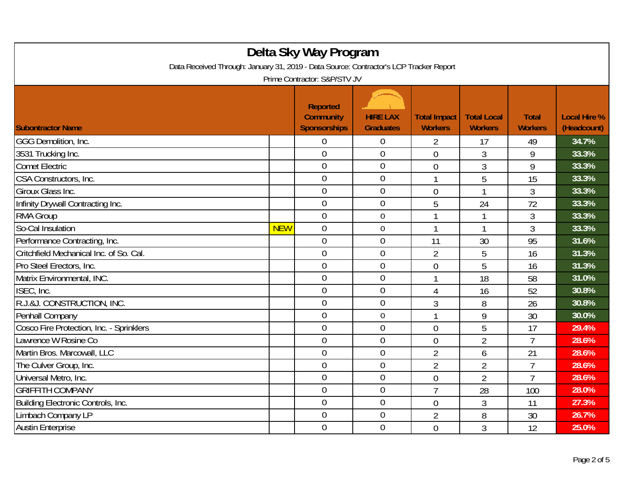| Delta Sky Way Program<br>Data Received Through: January 31, 2019 - Data Source: Contractor's LCP Tracker Report<br>Prime Contractor: S&P/STV JV |            |                                                            |                                     |                                       |                                      |                                |                                    |
|-------------------------------------------------------------------------------------------------------------------------------------------------|------------|------------------------------------------------------------|-------------------------------------|---------------------------------------|--------------------------------------|--------------------------------|------------------------------------|
| <b>Subontractor Name</b>                                                                                                                        |            | <b>Reported</b><br><b>Community</b><br><b>Sponsorships</b> | <b>HIRE LAX</b><br><b>Graduates</b> | <b>Total Impact</b><br><b>Workers</b> | <b>Total Local</b><br><b>Workers</b> | <b>Total</b><br><b>Workers</b> | <b>Local Hire %</b><br>(Headcount) |
| GGG Demolition, Inc.                                                                                                                            |            | $\theta$                                                   | $\theta$                            | 2                                     | 17                                   | 49                             | 34.7%                              |
| 3531 Trucking Inc.                                                                                                                              |            | $\overline{0}$                                             | $\mathbf 0$                         | $\overline{0}$                        | $\overline{3}$                       | 9                              | 33.3%                              |
| <b>Comet Electric</b>                                                                                                                           |            | $\overline{0}$                                             | $\boldsymbol{0}$                    | $\overline{0}$                        | $\mathfrak{Z}$                       | 9                              | 33.3%                              |
| CSA Constructors, Inc.                                                                                                                          |            | $\mathbf 0$                                                | $\boldsymbol{0}$                    |                                       | 5                                    | 15                             | 33.3%                              |
| Giroux Glass Inc.                                                                                                                               |            | $\overline{0}$                                             | $\overline{0}$                      | $\overline{0}$                        | $\mathbf{1}$                         | 3                              | 33.3%                              |
| Infinity Drywall Contracting Inc.                                                                                                               |            | $\overline{0}$                                             | $\boldsymbol{0}$                    | 5                                     | 24                                   | 72                             | 33.3%                              |
| <b>RMA Group</b>                                                                                                                                |            | $\mathbf 0$                                                | $\boldsymbol{0}$                    |                                       |                                      | $\mathfrak{Z}$                 | 33.3%                              |
| So-Cal Insulation                                                                                                                               | <b>NEW</b> | $\overline{0}$                                             | $\mathbf 0$                         | 1                                     | $\mathbf{1}$                         | 3                              | 33.3%                              |
| Performance Contracting, Inc.                                                                                                                   |            | $\overline{0}$                                             | $\boldsymbol{0}$                    | 11                                    | 30                                   | 95                             | 31.6%                              |
| Critchfield Mechanical Inc. of So. Cal.                                                                                                         |            | $\mathbf 0$                                                | $\boldsymbol{0}$                    | $\overline{2}$                        | 5                                    | 16                             | 31.3%                              |
| Pro Steel Erectors, Inc.                                                                                                                        |            | $\overline{0}$                                             | $\overline{0}$                      | $\overline{0}$                        | 5                                    | 16                             | 31.3%                              |
| Matrix Environmental, INC.                                                                                                                      |            | $\overline{0}$                                             | $\boldsymbol{0}$                    | 1                                     | 18                                   | 58                             | 31.0%                              |
| ISEC, Inc.                                                                                                                                      |            | $\overline{0}$                                             | $\mathbf 0$                         | 4                                     | 16                                   | 52                             | 30.8%                              |
| R.J.&J. CONSTRUCTION, INC.                                                                                                                      |            | $\overline{0}$                                             | $\overline{0}$                      | 3                                     | 8                                    | 26                             | 30.8%                              |
| Penhall Company                                                                                                                                 |            | $\mathbf 0$                                                | $\boldsymbol{0}$                    | $\mathbf{1}$                          | 9                                    | 30                             | 30.0%                              |
| Cosco Fire Protection, Inc. - Sprinklers                                                                                                        |            | $\overline{0}$                                             | $\mathbf 0$                         | $\theta$                              | 5                                    | 17                             | 29.4%                              |
| Lawrence W Rosine Co                                                                                                                            |            | $\overline{0}$                                             | $\overline{0}$                      | $\overline{0}$                        | $\overline{2}$                       | $\overline{7}$                 | 28.6%                              |
| Martin Bros. Marcowall, LLC                                                                                                                     |            | $\theta$                                                   | $\boldsymbol{0}$                    | $\overline{2}$                        | 6                                    | 21                             | 28.6%                              |
| The Culver Group, Inc.                                                                                                                          |            | $\overline{0}$                                             | $\mathbf 0$                         | $\overline{2}$                        | $\overline{2}$                       | $\overline{7}$                 | 28.6%                              |
| Universal Metro, Inc.                                                                                                                           |            | $\overline{0}$                                             | $\mathbf 0$                         | $\overline{0}$                        | $\overline{2}$                       | $\overline{7}$                 | 28.6%                              |
| <b>GRIFFITH COMPANY</b>                                                                                                                         |            | $\overline{0}$                                             | $\mathbf 0$                         | $\overline{7}$                        | 28                                   | 100                            | 28.0%                              |
| Building Electronic Controls, Inc.                                                                                                              |            | $\mathbf 0$                                                | $\overline{0}$                      | $\overline{0}$                        | $\mathfrak{Z}$                       | 11                             | 27.3%                              |
| Limbach Company LP                                                                                                                              |            | $\theta$                                                   | $\mathbf 0$                         | $\overline{2}$                        | 8                                    | 30                             | 26.7%                              |
| <b>Austin Enterprise</b>                                                                                                                        |            | $\overline{0}$                                             | $\mathbf 0$                         | $\overline{0}$                        | $\overline{3}$                       | 12                             | 25.0%                              |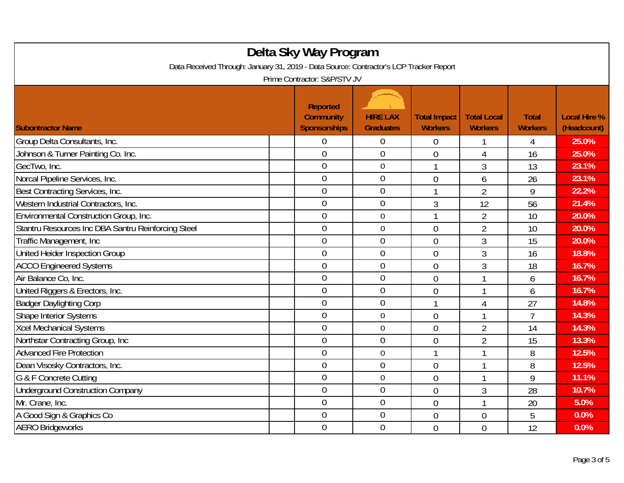| Delta Sky Way Program<br>Data Received Through: January 31, 2019 - Data Source: Contractor's LCP Tracker Report<br>Prime Contractor: S&P/STV JV |                                                            |                                     |                                       |                                      |                                |                                    |  |
|-------------------------------------------------------------------------------------------------------------------------------------------------|------------------------------------------------------------|-------------------------------------|---------------------------------------|--------------------------------------|--------------------------------|------------------------------------|--|
| <b>Subontractor Name</b>                                                                                                                        | <b>Reported</b><br><b>Community</b><br><b>Sponsorships</b> | <b>HIRE LAX</b><br><b>Graduates</b> | <b>Total Impact</b><br><b>Workers</b> | <b>Total Local</b><br><b>Workers</b> | <b>Total</b><br><b>Workers</b> | <b>Local Hire %</b><br>(Headcount) |  |
| Group Delta Consultants, Inc.                                                                                                                   | 0                                                          | 0                                   | $\overline{0}$                        |                                      | 4                              | 25.0%                              |  |
| Johnson & Turner Painting Co. Inc.                                                                                                              | $\overline{0}$                                             | $\overline{0}$                      | $\overline{0}$                        | 4                                    | 16                             | 25.0%                              |  |
| GecTwo, Inc.                                                                                                                                    | $\overline{0}$                                             | $\boldsymbol{0}$                    |                                       | 3                                    | 13                             | 23.1%                              |  |
| Norcal Pipeline Services, Inc.                                                                                                                  | $\theta$                                                   | $\overline{0}$                      | $\overline{0}$                        | 6                                    | 26                             | 23.1%                              |  |
| Best Contracting Services, Inc.                                                                                                                 | $\overline{0}$                                             | $\overline{0}$                      | 1                                     | $\overline{2}$                       | 9                              | 22.2%                              |  |
| Western Industrial Contractors, Inc.                                                                                                            | $\overline{0}$                                             | $\overline{0}$                      | 3                                     | 12                                   | 56                             | 21.4%                              |  |
| Environmental Construction Group, Inc.                                                                                                          | $\overline{0}$                                             | $\mathbf 0$                         |                                       | $\overline{2}$                       | 10                             | 20.0%                              |  |
| Stantru Resources Inc DBA Santru Reinforcing Steel                                                                                              | $\mathbf 0$                                                | $\mathbf 0$                         | $\overline{0}$                        | $\overline{2}$                       | 10                             | 20.0%                              |  |
| Traffic Management, Inc.                                                                                                                        | $\overline{0}$                                             | 0                                   | $\mathbf 0$                           | 3                                    | 15                             | 20.0%                              |  |
| United Heider Inspection Group                                                                                                                  | $\mathbf 0$                                                | $\overline{0}$                      | $\overline{0}$                        | 3                                    | 16                             | 18.8%                              |  |
| <b>ACCO Engineered Systems</b>                                                                                                                  | $\overline{0}$                                             | $\overline{0}$                      | $\overline{0}$                        | 3                                    | 18                             | 16.7%                              |  |
| Air Balance Co, Inc.                                                                                                                            | $\theta$                                                   | $\overline{0}$                      | $\overline{0}$                        |                                      | 6                              | 16.7%                              |  |
| United Riggers & Erectors, Inc.                                                                                                                 | $\overline{0}$                                             | $\mathbf 0$                         | $\overline{0}$                        |                                      | 6                              | 16.7%                              |  |
| <b>Badger Daylighting Corp</b>                                                                                                                  | $\mathbf 0$                                                | $\overline{0}$                      | 1                                     | 4                                    | 27                             | 14.8%                              |  |
| <b>Shape Interior Systems</b>                                                                                                                   | $\theta$                                                   | $\boldsymbol{0}$                    | $\overline{0}$                        |                                      | $\overline{7}$                 | 14.3%                              |  |
| <b>Xcel Mechanical Systems</b>                                                                                                                  | $\mathbf 0$                                                | $\boldsymbol{0}$                    | $\overline{0}$                        | $\overline{2}$                       | 14                             | 14.3%                              |  |
| Northstar Contracting Group, Inc                                                                                                                | $\theta$                                                   | $\mathbf 0$                         | $\overline{0}$                        | $\overline{2}$                       | 15                             | 13.3%                              |  |
| <b>Advanced Fire Protection</b>                                                                                                                 | $\theta$                                                   | $\overline{0}$                      |                                       |                                      | 8                              | 12.5%                              |  |
| Dean Visosky Contractors, Inc.                                                                                                                  | $\overline{0}$                                             | $\mathbf 0$                         | $\overline{0}$                        |                                      | 8                              | 12.5%                              |  |
| G & F Concrete Cutting                                                                                                                          | $\theta$                                                   | $\boldsymbol{0}$                    | $\overline{0}$                        |                                      | 9                              | 11.1%                              |  |
| <b>Underground Construction Company</b>                                                                                                         | $\overline{0}$                                             | $\mathbf 0$                         | $\overline{0}$                        | 3                                    | 28                             | 10.7%                              |  |
| Mr. Crane, Inc.                                                                                                                                 | $\mathbf 0$                                                | $\mathbf 0$                         | $\mathbf 0$                           | $\mathbf{1}$                         | 20                             | 5.0%                               |  |
| A Good Sign & Graphics Co                                                                                                                       | $\overline{0}$                                             | $\boldsymbol{0}$                    | $\overline{0}$                        | $\overline{0}$                       | 5                              | 0.0%                               |  |
| <b>AERO Bridgeworks</b>                                                                                                                         | $\mathbf 0$                                                | $\overline{0}$                      | $\overline{0}$                        | $\overline{0}$                       | 12                             | 0.0%                               |  |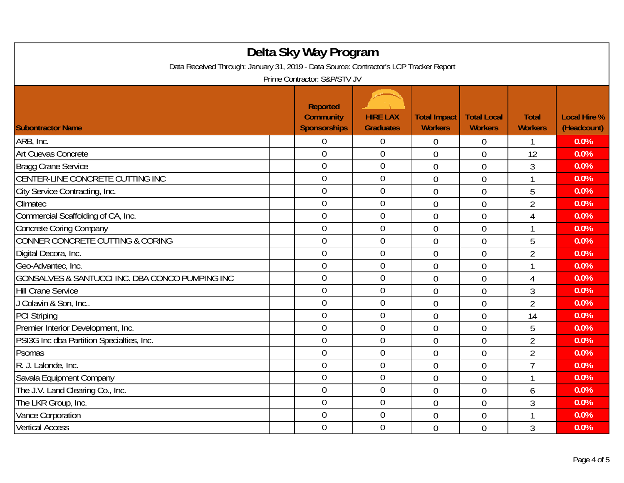| Delta Sky Way Program<br>Data Received Through: January 31, 2019 - Data Source: Contractor's LCP Tracker Report<br>Prime Contractor: S&P/STV JV |                |                  |                |                |                |      |  |
|-------------------------------------------------------------------------------------------------------------------------------------------------|----------------|------------------|----------------|----------------|----------------|------|--|
|                                                                                                                                                 |                |                  |                |                |                |      |  |
| ARB, Inc.                                                                                                                                       | $\overline{0}$ | 0                | $\overline{0}$ | 0              |                | 0.0% |  |
| Art Cuevas Concrete                                                                                                                             | $\overline{0}$ | $\overline{0}$   | $\overline{0}$ | $\overline{0}$ | 12             | 0.0% |  |
| Bragg Crane Service                                                                                                                             | $\overline{0}$ | $\boldsymbol{0}$ | $\theta$       | $\overline{0}$ | 3              | 0.0% |  |
| CENTER-LINE CONCRETE CUTTING INC                                                                                                                | $\theta$       | $\mathbf 0$      | $\overline{0}$ | $\overline{0}$ |                | 0.0% |  |
| City Service Contracting, Inc.                                                                                                                  | $\overline{0}$ | $\overline{0}$   | $\overline{0}$ | $\overline{0}$ | 5              | 0.0% |  |
| Climatec                                                                                                                                        | $\overline{0}$ | $\boldsymbol{0}$ | $\overline{0}$ | $\overline{0}$ | $\overline{2}$ | 0.0% |  |
| Commercial Scaffolding of CA, Inc.                                                                                                              | $\overline{0}$ | $\overline{0}$   | $\overline{0}$ | $\overline{0}$ | $\overline{4}$ | 0.0% |  |
| <b>Concrete Coring Company</b>                                                                                                                  | $\overline{0}$ | $\overline{0}$   | $\overline{0}$ | $\overline{0}$ |                | 0.0% |  |
| CONNER CONCRETE CUTTING & CORING                                                                                                                | $\theta$       | $\mathbf 0$      | $\overline{0}$ | $\overline{0}$ | 5              | 0.0% |  |
| Digital Decora, Inc.                                                                                                                            | $\mathbf 0$    | $\mathbf 0$      | $\overline{0}$ | $\overline{0}$ | $\overline{2}$ | 0.0% |  |
| Geo-Advantec, Inc.                                                                                                                              | $\overline{0}$ | $\overline{0}$   | $\overline{0}$ | $\overline{0}$ |                | 0.0% |  |
| GONSALVES & SANTUCCI INC. DBA CONCO PUMPING INC                                                                                                 | $\theta$       | $\mathbf 0$      | $\overline{0}$ | $\overline{0}$ | $\overline{4}$ | 0.0% |  |
| <b>Hill Crane Service</b>                                                                                                                       | $\mathbf 0$    | $\mathbf 0$      | $\overline{0}$ | $\overline{0}$ | 3              | 0.0% |  |
| J Colavin & Son, Inc                                                                                                                            | $\overline{0}$ | $\overline{0}$   | $\overline{0}$ | $\overline{0}$ | $\overline{2}$ | 0.0% |  |
| <b>PCI Striping</b>                                                                                                                             | $\theta$       | $\mathbf 0$      | $\mathbf 0$    | $\overline{0}$ | 14             | 0.0% |  |
| Premier Interior Development, Inc.                                                                                                              | $\mathbf 0$    | $\mathbf 0$      | $\overline{0}$ | $\overline{0}$ | 5              | 0.0% |  |
| PSI3G Inc dba Partition Specialties, Inc.                                                                                                       | $\overline{0}$ | $\mathbf 0$      | $\overline{0}$ | $\overline{0}$ | $\overline{2}$ | 0.0% |  |
| Psomas                                                                                                                                          | $\theta$       | $\overline{0}$   | $\overline{0}$ | $\overline{0}$ | $\overline{2}$ | 0.0% |  |
| R. J. Lalonde, Inc.                                                                                                                             | $\mathbf{0}$   | $\mathbf 0$      | $\overline{0}$ | $\overline{0}$ | $\overline{7}$ | 0.0% |  |
| Savala Equipment Company                                                                                                                        | $\overline{0}$ | $\boldsymbol{0}$ | $\overline{0}$ | $\overline{0}$ |                | 0.0% |  |
| The J.V. Land Clearing Co., Inc.                                                                                                                | $\theta$       | $\boldsymbol{0}$ | $\overline{0}$ | $\overline{0}$ | 6              | 0.0% |  |
| The LKR Group, Inc.                                                                                                                             | $\mathbf 0$    | $\mathbf 0$      | $\overline{0}$ | $\overline{0}$ | $\mathfrak{Z}$ | 0.0% |  |
| Vance Corporation                                                                                                                               | $\overline{0}$ | $\boldsymbol{0}$ | 0              | $\overline{0}$ |                | 0.0% |  |
| <b>Vertical Access</b>                                                                                                                          | $\overline{0}$ | $\overline{0}$   | $\overline{0}$ | $\overline{0}$ | $\mathfrak{Z}$ | 0.0% |  |